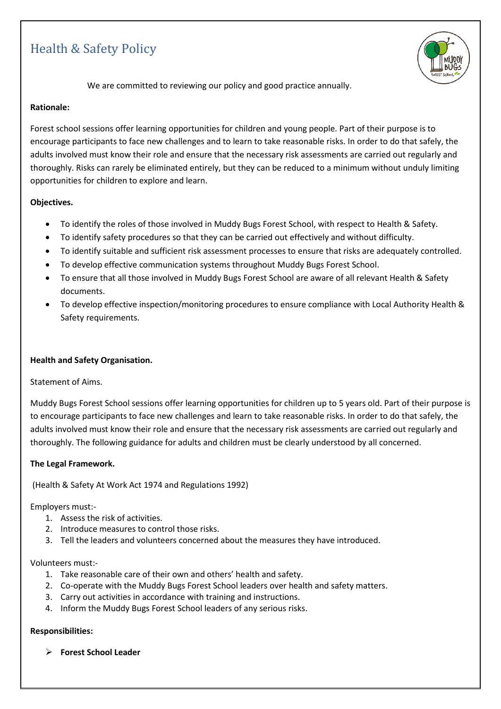# Health & Safety Policy



We are committed to reviewing our policy and good practice annually.

## **Rationale:**

Forest school sessions offer learning opportunities for children and young people. Part of their purpose is to encourage participants to face new challenges and to learn to take reasonable risks. In order to do that safely, the adults involved must know their role and ensure that the necessary risk assessments are carried out regularly and thoroughly. Risks can rarely be eliminated entirely, but they can be reduced to a minimum without unduly limiting opportunities for children to explore and learn.

## **Objectives.**

- To identify the roles of those involved in Muddy Bugs Forest School, with respect to Health & Safety.
- To identify safety procedures so that they can be carried out effectively and without difficulty.
- To identify suitable and sufficient risk assessment processes to ensure that risks are adequately controlled.
- To develop effective communication systems throughout Muddy Bugs Forest School.
- To ensure that all those involved in Muddy Bugs Forest School are aware of all relevant Health & Safety documents.
- To develop effective inspection/monitoring procedures to ensure compliance with Local Authority Health & Safety requirements.

# **Health and Safety Organisation.**

#### Statement of Aims.

Muddy Bugs Forest School sessions offer learning opportunities for children up to 5 years old. Part of their purpose is to encourage participants to face new challenges and learn to take reasonable risks. In order to do that safely, the adults involved must know their role and ensure that the necessary risk assessments are carried out regularly and thoroughly. The following guidance for adults and children must be clearly understood by all concerned.

#### **The Legal Framework.**

(Health & Safety At Work Act 1974 and Regulations 1992)

#### Employers must:-

- 1. Assess the risk of activities.
- 2. Introduce measures to control those risks.
- 3. Tell the leaders and volunteers concerned about the measures they have introduced.

#### Volunteers must:-

- 1. Take reasonable care of their own and others' health and safety.
- 2. Co-operate with the Muddy Bugs Forest School leaders over health and safety matters.
- 3. Carry out activities in accordance with training and instructions.
- 4. Inform the Muddy Bugs Forest School leaders of any serious risks.

#### **Responsibilities:**

➢ **Forest School Leader**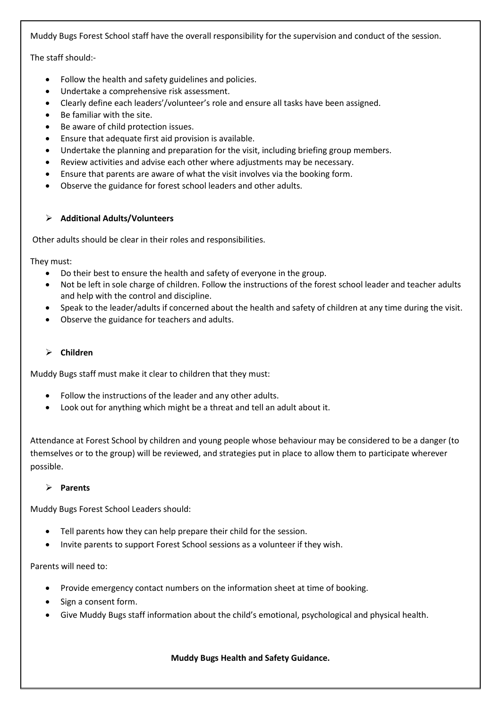Muddy Bugs Forest School staff have the overall responsibility for the supervision and conduct of the session.

The staff should:-

- Follow the health and safety guidelines and policies.
- Undertake a comprehensive risk assessment.
- Clearly define each leaders'/volunteer's role and ensure all tasks have been assigned.
- Be familiar with the site.
- Be aware of child protection issues.
- Ensure that adequate first aid provision is available.
- Undertake the planning and preparation for the visit, including briefing group members.
- Review activities and advise each other where adjustments may be necessary.
- Ensure that parents are aware of what the visit involves via the booking form.
- Observe the guidance for forest school leaders and other adults.

# ➢ **Additional Adults/Volunteers**

Other adults should be clear in their roles and responsibilities.

They must:

- Do their best to ensure the health and safety of everyone in the group.
- Not be left in sole charge of children. Follow the instructions of the forest school leader and teacher adults and help with the control and discipline.
- Speak to the leader/adults if concerned about the health and safety of children at any time during the visit.
- Observe the guidance for teachers and adults.

# ➢ **Children**

Muddy Bugs staff must make it clear to children that they must:

- Follow the instructions of the leader and any other adults.
- Look out for anything which might be a threat and tell an adult about it.

Attendance at Forest School by children and young people whose behaviour may be considered to be a danger (to themselves or to the group) will be reviewed, and strategies put in place to allow them to participate wherever possible.

# ➢ **Parents**

Muddy Bugs Forest School Leaders should:

- Tell parents how they can help prepare their child for the session.
- Invite parents to support Forest School sessions as a volunteer if they wish.

# Parents will need to:

- Provide emergency contact numbers on the information sheet at time of booking.
- Sign a consent form.
- Give Muddy Bugs staff information about the child's emotional, psychological and physical health.

# **Muddy Bugs Health and Safety Guidance.**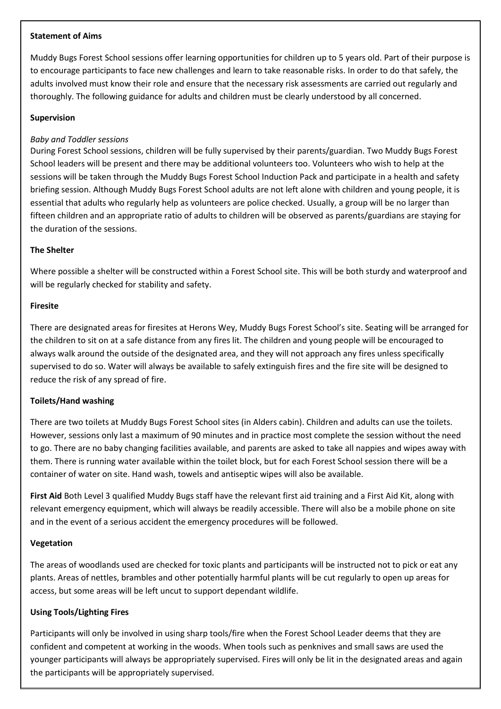## **Statement of Aims**

Muddy Bugs Forest School sessions offer learning opportunities for children up to 5 years old. Part of their purpose is to encourage participants to face new challenges and learn to take reasonable risks. In order to do that safely, the adults involved must know their role and ensure that the necessary risk assessments are carried out regularly and thoroughly. The following guidance for adults and children must be clearly understood by all concerned.

## **Supervision**

## *Baby and Toddler sessions*

During Forest School sessions, children will be fully supervised by their parents/guardian. Two Muddy Bugs Forest School leaders will be present and there may be additional volunteers too. Volunteers who wish to help at the sessions will be taken through the Muddy Bugs Forest School Induction Pack and participate in a health and safety briefing session. Although Muddy Bugs Forest School adults are not left alone with children and young people, it is essential that adults who regularly help as volunteers are police checked. Usually, a group will be no larger than fifteen children and an appropriate ratio of adults to children will be observed as parents/guardians are staying for the duration of the sessions.

## **The Shelter**

Where possible a shelter will be constructed within a Forest School site. This will be both sturdy and waterproof and will be regularly checked for stability and safety.

#### **Firesite**

There are designated areas for firesites at Herons Wey, Muddy Bugs Forest School's site. Seating will be arranged for the children to sit on at a safe distance from any fires lit. The children and young people will be encouraged to always walk around the outside of the designated area, and they will not approach any fires unless specifically supervised to do so. Water will always be available to safely extinguish fires and the fire site will be designed to reduce the risk of any spread of fire.

#### **Toilets/Hand washing**

There are two toilets at Muddy Bugs Forest School sites (in Alders cabin). Children and adults can use the toilets. However, sessions only last a maximum of 90 minutes and in practice most complete the session without the need to go. There are no baby changing facilities available, and parents are asked to take all nappies and wipes away with them. There is running water available within the toilet block, but for each Forest School session there will be a container of water on site. Hand wash, towels and antiseptic wipes will also be available.

**First Aid** Both Level 3 qualified Muddy Bugs staff have the relevant first aid training and a First Aid Kit, along with relevant emergency equipment, which will always be readily accessible. There will also be a mobile phone on site and in the event of a serious accident the emergency procedures will be followed.

#### **Vegetation**

The areas of woodlands used are checked for toxic plants and participants will be instructed not to pick or eat any plants. Areas of nettles, brambles and other potentially harmful plants will be cut regularly to open up areas for access, but some areas will be left uncut to support dependant wildlife.

# **Using Tools/Lighting Fires**

Participants will only be involved in using sharp tools/fire when the Forest School Leader deems that they are confident and competent at working in the woods. When tools such as penknives and small saws are used the younger participants will always be appropriately supervised. Fires will only be lit in the designated areas and again the participants will be appropriately supervised.